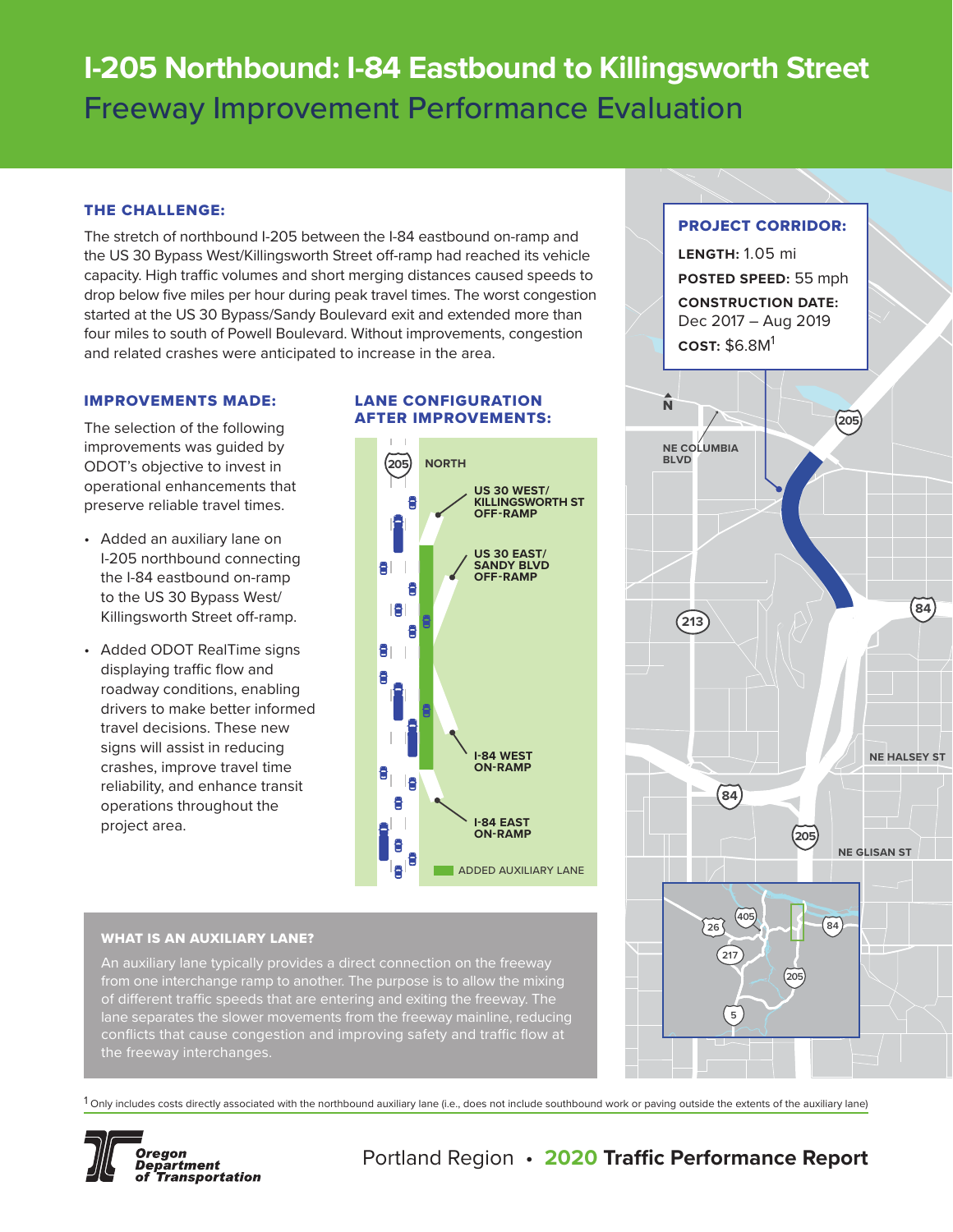# **I-205 Northbound: I-84 Eastbound to Killingsworth Street** Freeway Improvement Performance Evaluation

# THE CHALLENGE:

The stretch of northbound I-205 between the I-84 eastbound on-ramp and the US 30 Bypass West/Killingsworth Street off-ramp had reached its vehicle capacity. High traffic volumes and short merging distances caused speeds to drop below five miles per hour during peak travel times. The worst congestion started at the US 30 Bypass/Sandy Boulevard exit and extended more than four miles to south of Powell Boulevard. Without improvements, congestion and related crashes were anticipated to increase in the area.

#### IMPROVEMENTS MADE:

The selection of the following improvements was guided by ODOT's objective to invest in operational enhancements that preserve reliable travel times.

- Added an auxiliary lane on I-205 northbound connecting the I-84 eastbound on-ramp to the US 30 Bypass West/ Killingsworth Street off-ramp.
- Added ODOT RealTime signs displaying traffic flow and roadway conditions, enabling drivers to make better informed travel decisions. These new signs will assist in reducing crashes, improve travel time reliability, and enhance transit operations throughout the project area.

# LANE CONFIGURATION AFTER IMPROVEMENTS:



# WHAT IS AN AUXILIARY LANE?

An auxiliary lane typically provides a direct connection on the freeway from one interchange ramp to another. The purpose is to allow the mixing of different traffic speeds that are entering and exiting the freeway. The conflicts that cause congestion and improving safety and traffic flow at the freeway interchanges.

 $1$  Only includes costs directly associated with the northbound auxiliary lane (i.e., does not include southbound work or paving outside the extents of the auxiliary lane)



# Portland Region • **2020 Traffic Performance Report**

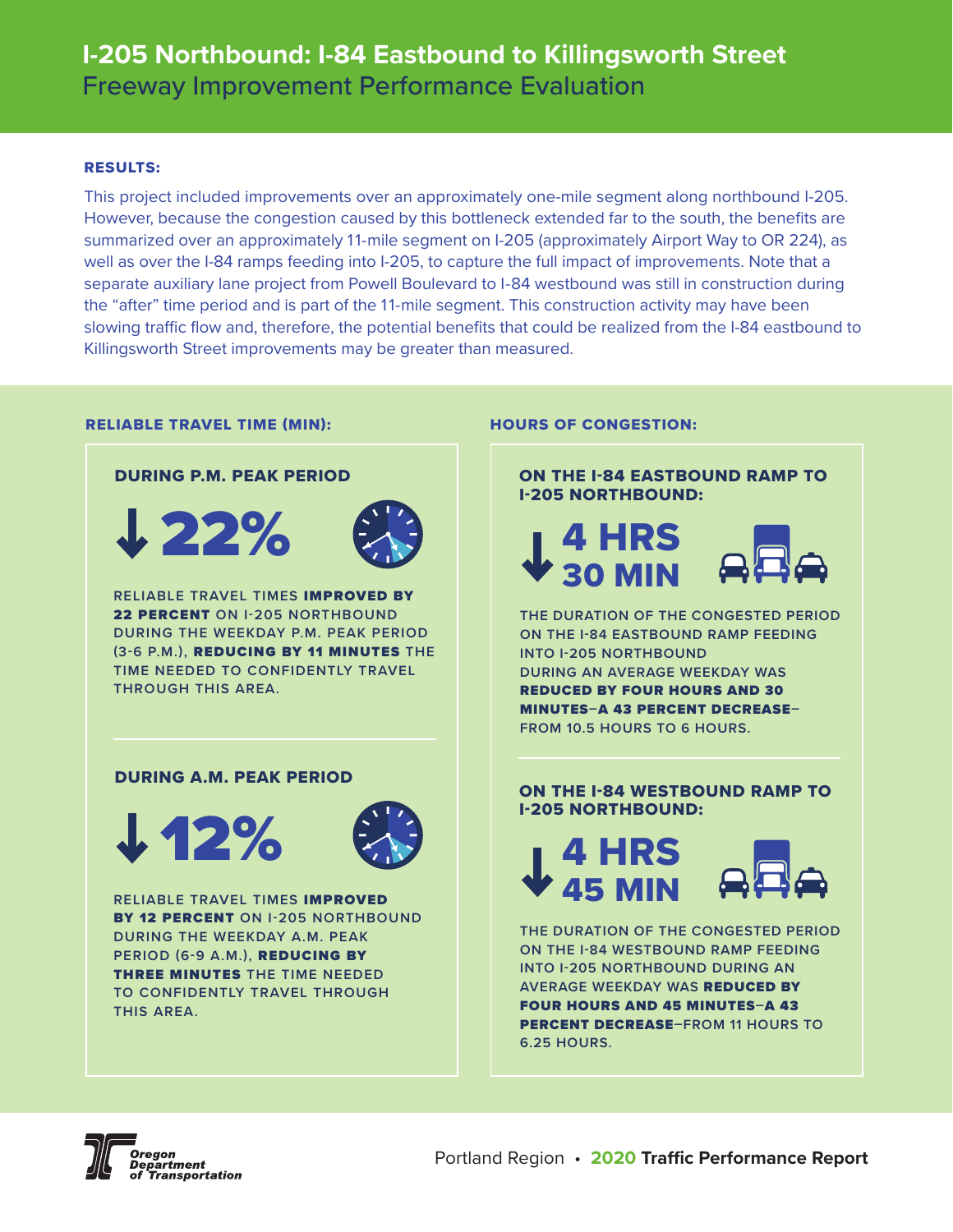# RESULTS:

This project included improvements over an approximately one-mile segment along northbound I-205. However, because the congestion caused by this bottleneck extended far to the south, the benefits are summarized over an approximately 11-mile segment on I-205 (approximately Airport Way to OR 224), as well as over the I-84 ramps feeding into I-205, to capture the full impact of improvements. Note that a separate auxiliary lane project from Powell Boulevard to I-84 westbound was still in construction during the "after" time period and is part of the 11-mile segment. This construction activity may have been slowing traffic flow and, therefore, the potential benefits that could be realized from the I-84 eastbound to Killingsworth Street improvements may be greater than measured.

#### RELIABLE TRAVEL TIME (MIN):



#### HOURS OF CONGESTION:



**ON THE I-84 EASTBOUND RAMP FEEDING INTO I-205 NORTHBOUND DURING AN AVERAGE WEEKDAY WAS**  REDUCED BY FOUR HOURS AND 30 MINUTES**–**A 43 PERCENT DECREASE**– FROM 10.5 HOURS TO 6 HOURS.**

# ON THE I-84 WESTBOUND RAMP TO I-205 NORTHBOUND:



**THE DURATION OF THE CONGESTED PERIOD ON THE I-84 WESTBOUND RAMP FEEDING INTO I-205 NORTHBOUND DURING AN AVERAGE WEEKDAY WAS** REDUCED BY FOUR HOURS AND 45 MINUTES**–**A 43 PERCENT DECREASE**–FROM 11 HOURS TO 6.25 HOURS.**